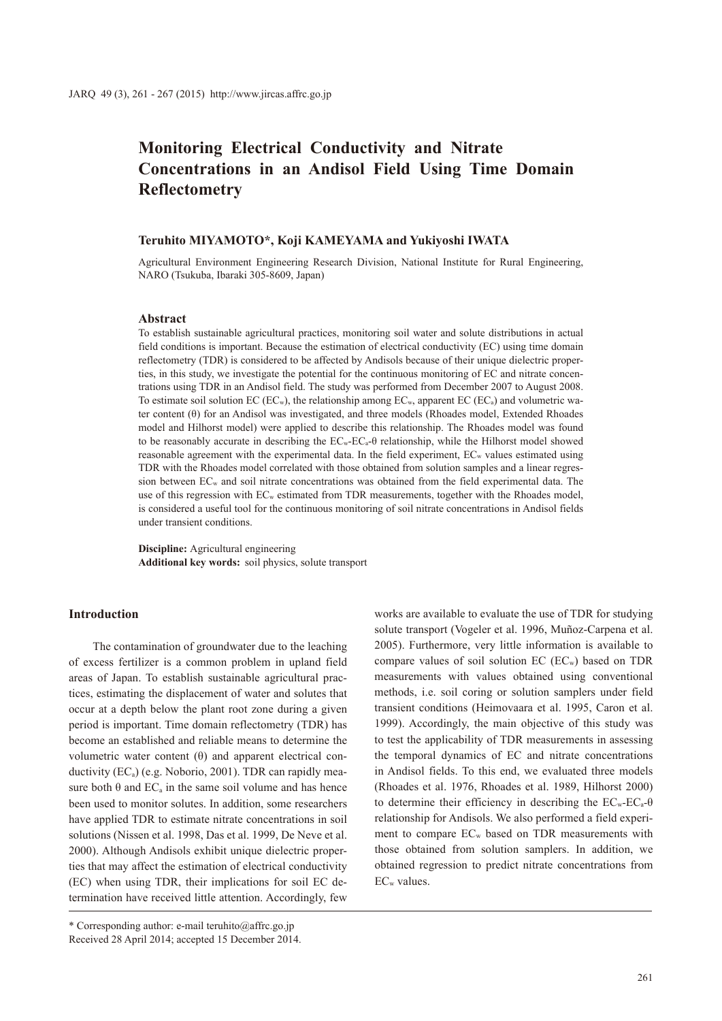# **Monitoring Electrical Conductivity and Nitrate Concentrations in an Andisol Field Using Time Domain Reflectometry**

### **Teruhito MIYAMOTO\*, Koji KAMEYAMA and Yukiyoshi IWATA**

Agricultural Environment Engineering Research Division, National Institute for Rural Engineering, NARO (Tsukuba, Ibaraki 305-8609, Japan)

#### **Abstract**

To establish sustainable agricultural practices, monitoring soil water and solute distributions in actual field conditions is important. Because the estimation of electrical conductivity (EC) using time domain reflectometry (TDR) is considered to be affected by Andisols because of their unique dielectric properties, in this study, we investigate the potential for the continuous monitoring of EC and nitrate concentrations using TDR in an Andisol field. The study was performed from December 2007 to August 2008. To estimate soil solution EC ( $EC_w$ ), the relationship among  $EC_w$ , apparent EC ( $EC_a$ ) and volumetric water content (θ) for an Andisol was investigated, and three models (Rhoades model, Extended Rhoades model and Hilhorst model) were applied to describe this relationship. The Rhoades model was found to be reasonably accurate in describing the ECw-ECa-θ relationship, while the Hilhorst model showed reasonable agreement with the experimental data. In the field experiment, ECw values estimated using TDR with the Rhoades model correlated with those obtained from solution samples and a linear regression between ECw and soil nitrate concentrations was obtained from the field experimental data. The use of this regression with EC<sub>w</sub> estimated from TDR measurements, together with the Rhoades model, is considered a useful tool for the continuous monitoring of soil nitrate concentrations in Andisol fields under transient conditions.

**Discipline:** Agricultural engineering **Additional key words:** soil physics, solute transport

# **Introduction**

The contamination of groundwater due to the leaching of excess fertilizer is a common problem in upland field areas of Japan. To establish sustainable agricultural practices, estimating the displacement of water and solutes that occur at a depth below the plant root zone during a given period is important. Time domain reflectometry (TDR) has become an established and reliable means to determine the volumetric water content (θ) and apparent electrical conductivity (ECa) (e.g. Noborio, 2001). TDR can rapidly measure both  $\theta$  and EC<sub>a</sub> in the same soil volume and has hence been used to monitor solutes. In addition, some researchers have applied TDR to estimate nitrate concentrations in soil solutions (Nissen et al. 1998, Das et al. 1999, De Neve et al. 2000). Although Andisols exhibit unique dielectric properties that may affect the estimation of electrical conductivity (EC) when using TDR, their implications for soil EC determination have received little attention. Accordingly, few

works are available to evaluate the use of TDR for studying solute transport (Vogeler et al. 1996, Muñoz-Carpena et al. 2005). Furthermore, very little information is available to compare values of soil solution  $EC$  ( $EC_w$ ) based on TDR measurements with values obtained using conventional methods, i.e. soil coring or solution samplers under field transient conditions (Heimovaara et al. 1995, Caron et al. 1999). Accordingly, the main objective of this study was to test the applicability of TDR measurements in assessing the temporal dynamics of EC and nitrate concentrations in Andisol fields. To this end, we evaluated three models (Rhoades et al. 1976, Rhoades et al. 1989, Hilhorst 2000) to determine their efficiency in describing the  $EC_w-EC_a-\theta$ relationship for Andisols. We also performed a field experiment to compare  $EC_w$  based on TDR measurements with those obtained from solution samplers. In addition, we obtained regression to predict nitrate concentrations from ECw values.

<sup>\*</sup> Corresponding author: e-mail teruhito@affrc.go.jp Received 28 April 2014; accepted 15 December 2014.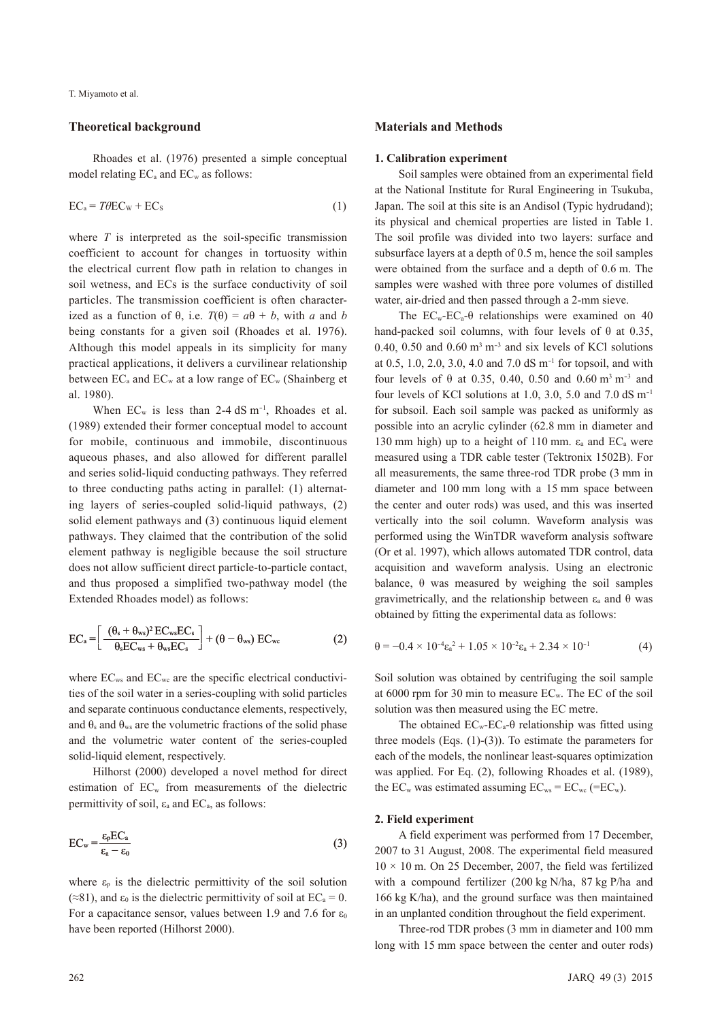# **Theoretical background**

Rhoades et al. (1976) presented a simple conceptual model relating  $EC_a$  and  $EC_w$  as follows:

$$
EC_a = T\theta EC_w + EC_s \tag{1}
$$

where *T* is interpreted as the soil-specific transmission coefficient to account for changes in tortuosity within the electrical current flow path in relation to changes in soil wetness, and ECs is the surface conductivity of soil particles. The transmission coefficient is often characterized as a function of  $\theta$ , i.e.  $T(\theta) = a\theta + b$ , with *a* and *b* being constants for a given soil (Rhoades et al. 1976). Although this model appeals in its simplicity for many practical applications, it delivers a curvilinear relationship between  $EC_a$  and  $EC_w$  at a low range of  $EC_w$  (Shainberg et al. 1980).

When  $EC_w$  is less than 2-4 dS m<sup>-1</sup>, Rhoades et al. (1989) extended their former conceptual model to account for mobile, continuous and immobile, discontinuous aqueous phases, and also allowed for different parallel and series solid-liquid conducting pathways. They referred to three conducting paths acting in parallel: (1) alternating layers of series-coupled solid-liquid pathways, (2) solid element pathways and (3) continuous liquid element pathways. They claimed that the contribution of the solid element pathway is negligible because the soil structure does not allow sufficient direct particle-to-particle contact, and thus proposed a simplified two-pathway model (the Extended Rhoades model) as follows:

$$
EC_a = \left[ \frac{(\theta_s + \theta_{ws})^2 EC_{ws}EC_s}{\theta_s EC_{ws} + \theta_{ws}EC_s} \right] + (\theta - \theta_{ws}) EC_{wc}
$$
 (2)

where  $EC_{ws}$  and  $EC_{wc}$  are the specific electrical conductivities of the soil water in a series-coupling with solid particles and separate continuous conductance elements, respectively, and  $\theta_s$  and  $\theta_{ws}$  are the volumetric fractions of the solid phase and the volumetric water content of the series-coupled solid-liquid element, respectively.

Hilhorst (2000) developed a novel method for direct estimation of ECw from measurements of the dielectric permittivity of soil,  $\varepsilon_a$  and EC<sub>a</sub>, as follows:

$$
EC_{w} = \frac{\varepsilon_{p} EC_{a}}{\varepsilon_{a} - \varepsilon_{0}}
$$
 (3)

where  $\varepsilon_p$  is the dielectric permittivity of the soil solution (≈81), and  $\varepsilon_0$  is the dielectric permittivity of soil at EC<sub>a</sub> = 0. For a capacitance sensor, values between 1.9 and 7.6 for  $\varepsilon_0$ have been reported (Hilhorst 2000).

### **Materials and Methods**

#### **1. Calibration experiment**

Soil samples were obtained from an experimental field at the National Institute for Rural Engineering in Tsukuba, Japan. The soil at this site is an Andisol (Typic hydrudand); its physical and chemical properties are listed in Table 1. The soil profile was divided into two layers: surface and subsurface layers at a depth of 0.5 m, hence the soil samples were obtained from the surface and a depth of 0.6 m. The samples were washed with three pore volumes of distilled water, air-dried and then passed through a 2-mm sieve.

The  $EC_w-EC_a-0$  relationships were examined on 40 hand-packed soil columns, with four levels of  $\theta$  at 0.35, 0.40, 0.50 and  $0.60 \text{ m}^3 \text{ m}^{-3}$  and six levels of KCl solutions at 0.5, 1.0, 2.0, 3.0, 4.0 and 7.0 dS m-1 for topsoil, and with four levels of θ at 0.35, 0.40, 0.50 and 0.60 m<sup>3</sup> m<sup>-3</sup> and four levels of KCl solutions at 1.0, 3.0, 5.0 and 7.0 dS  $m^{-1}$ for subsoil. Each soil sample was packed as uniformly as possible into an acrylic cylinder (62.8 mm in diameter and 130 mm high) up to a height of 110 mm.  $\varepsilon_a$  and EC<sub>a</sub> were measured using a TDR cable tester (Tektronix 1502B). For all measurements, the same three-rod TDR probe (3 mm in diameter and 100 mm long with a 15 mm space between the center and outer rods) was used, and this was inserted vertically into the soil column. Waveform analysis was performed using the WinTDR waveform analysis software (Or et al. 1997), which allows automated TDR control, data acquisition and waveform analysis. Using an electronic balance,  $\theta$  was measured by weighing the soil samples gravimetrically, and the relationship between εa and θ was obtained by fitting the experimental data as follows:

$$
\theta = -0.4 \times 10^{-4} \varepsilon_a^2 + 1.05 \times 10^{-2} \varepsilon_a + 2.34 \times 10^{-1}
$$
 (4)

Soil solution was obtained by centrifuging the soil sample at 6000 rpm for 30 min to measure  $EC_w$ . The EC of the soil solution was then measured using the EC metre.

The obtained  $EC_w-EC_a-0$  relationship was fitted using three models (Eqs. (1)-(3)). To estimate the parameters for each of the models, the nonlinear least-squares optimization was applied. For Eq. (2), following Rhoades et al. (1989), the  $EC_w$  was estimated assuming  $EC_{ws} = EC_{wc}$  (= $EC_w$ ).

# **2. Field experiment**

A field experiment was performed from 17 December, 2007 to 31 August, 2008. The experimental field measured  $10 \times 10$  m. On 25 December, 2007, the field was fertilized with a compound fertilizer (200 kg N/ha, 87 kg P/ha and 166 kg K/ha), and the ground surface was then maintained in an unplanted condition throughout the field experiment.

Three-rod TDR probes (3 mm in diameter and 100 mm long with 15 mm space between the center and outer rods)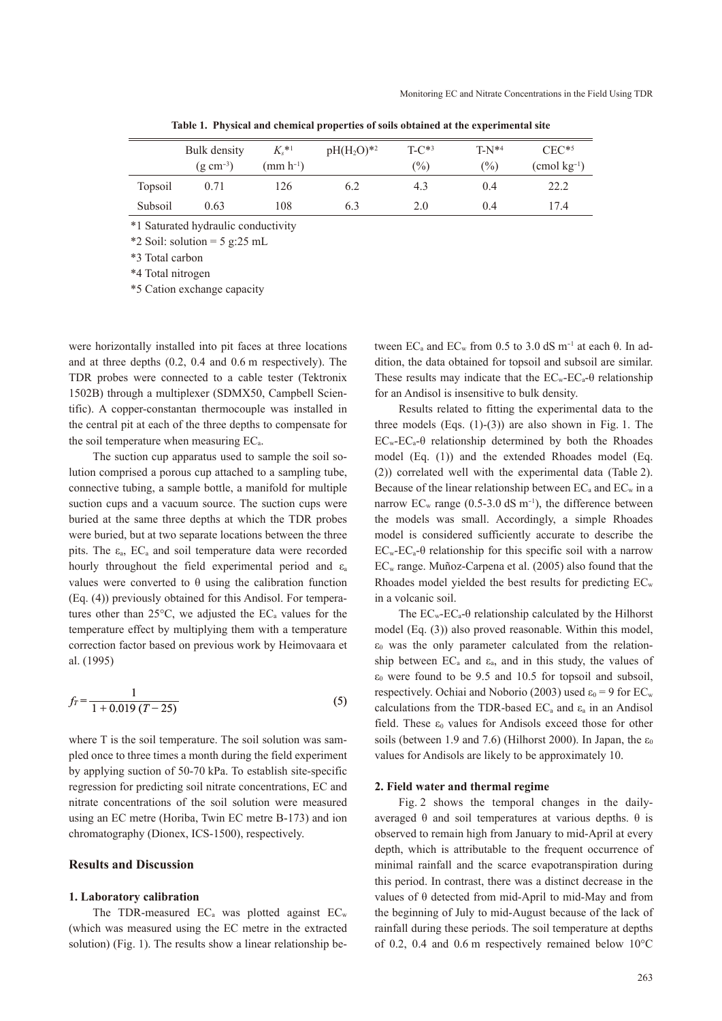|         | Bulk density<br>$(g \text{ cm}^{-3})$ | $K_s$ * <sup>1</sup><br>$(mm h^{-1})$ | $pH(H_2O)*2$ | $T-C^{*3}$<br>$\binom{0}{0}$ | $T-N^{*4}$<br>$\binom{0}{0}$ | $CEC^{*5}$<br>$\pmod{kg^{-1}}$ |
|---------|---------------------------------------|---------------------------------------|--------------|------------------------------|------------------------------|--------------------------------|
| Topsoil | 0.71                                  | 126                                   | 6.2          | 4.3                          | 0.4                          | 22.2                           |
| Subsoil | 0.63                                  | 108                                   | 6.3          | 2.0                          | 0.4                          | 17.4                           |

**Table 1. Physical and chemical properties of soils obtained at the experimental site**

\*1 Saturated hydraulic conductivity

 $*2$  Soil: solution = 5 g:25 mL

\*3 Total carbon

\*4 Total nitrogen

\*5 Cation exchange capacity

were horizontally installed into pit faces at three locations and at three depths (0.2, 0.4 and 0.6 m respectively). The TDR probes were connected to a cable tester (Tektronix 1502B) through a multiplexer (SDMX50, Campbell Scientific). A copper-constantan thermocouple was installed in the central pit at each of the three depths to compensate for the soil temperature when measuring ECa.

The suction cup apparatus used to sample the soil solution comprised a porous cup attached to a sampling tube, connective tubing, a sample bottle, a manifold for multiple suction cups and a vacuum source. The suction cups were buried at the same three depths at which the TDR probes were buried, but at two separate locations between the three pits. The  $\varepsilon_a$ ,  $EC_a$  and soil temperature data were recorded hourly throughout the field experimental period and  $\varepsilon_a$ values were converted to θ using the calibration function (Eq. (4)) previously obtained for this Andisol. For temperatures other than  $25^{\circ}$ C, we adjusted the EC<sub>a</sub> values for the temperature effect by multiplying them with a temperature correction factor based on previous work by Heimovaara et al. (1995)

$$
f_T = \frac{1}{1 + 0.019 (T - 25)}
$$
\n<sup>(5)</sup>

where T is the soil temperature. The soil solution was sampled once to three times a month during the field experiment by applying suction of 50-70 kPa. To establish site-specific regression for predicting soil nitrate concentrations, EC and nitrate concentrations of the soil solution were measured using an EC metre (Horiba, Twin EC metre B-173) and ion chromatography (Dionex, ICS-1500), respectively.

# **Results and Discussion**

### **1. Laboratory calibration**

The TDR-measured  $EC_a$  was plotted against  $EC_w$ (which was measured using the EC metre in the extracted solution) (Fig. 1). The results show a linear relationship be-

tween  $EC_a$  and  $EC_w$  from 0.5 to 3.0 dS m<sup>-1</sup> at each  $\theta$ . In addition, the data obtained for topsoil and subsoil are similar. These results may indicate that the  $EC_w-EC_a-θ$  relationship for an Andisol is insensitive to bulk density.

Results related to fitting the experimental data to the three models  $(Eng. (1)-(3))$  are also shown in Fig. 1. The  $EC_w-EC_a-θ$  relationship determined by both the Rhoades model (Eq. (1)) and the extended Rhoades model (Eq. (2)) correlated well with the experimental data (Table 2). Because of the linear relationship between  $EC_a$  and  $EC_w$  in a narrow  $EC_w$  range (0.5-3.0 dS m<sup>-1</sup>), the difference between the models was small. Accordingly, a simple Rhoades model is considered sufficiently accurate to describe the  $EC_w-EC_a-θ$  relationship for this specific soil with a narrow ECw range. Muñoz-Carpena et al. (2005) also found that the Rhoades model yielded the best results for predicting  $EC<sub>w</sub>$ in a volcanic soil.

The  $EC_w-EC_a-0$  relationship calculated by the Hilhorst model (Eq. (3)) also proved reasonable. Within this model,  $\varepsilon_0$  was the only parameter calculated from the relationship between  $EC_a$  and  $\varepsilon_a$ , and in this study, the values of  $\varepsilon_0$  were found to be 9.5 and 10.5 for topsoil and subsoil, respectively. Ochiai and Noborio (2003) used  $\varepsilon_0 = 9$  for EC<sub>w</sub> calculations from the TDR-based  $EC_a$  and  $\varepsilon_a$  in an Andisol field. These  $\varepsilon_0$  values for Andisols exceed those for other soils (between 1.9 and 7.6) (Hilhorst 2000). In Japan, the  $\varepsilon_0$ values for Andisols are likely to be approximately 10.

#### **2. Field water and thermal regime**

Fig. 2 shows the temporal changes in the dailyaveraged  $θ$  and soil temperatures at various depths.  $θ$  is observed to remain high from January to mid-April at every depth, which is attributable to the frequent occurrence of minimal rainfall and the scarce evapotranspiration during this period. In contrast, there was a distinct decrease in the values of θ detected from mid-April to mid-May and from the beginning of July to mid-August because of the lack of rainfall during these periods. The soil temperature at depths of 0.2, 0.4 and 0.6 m respectively remained below 10°C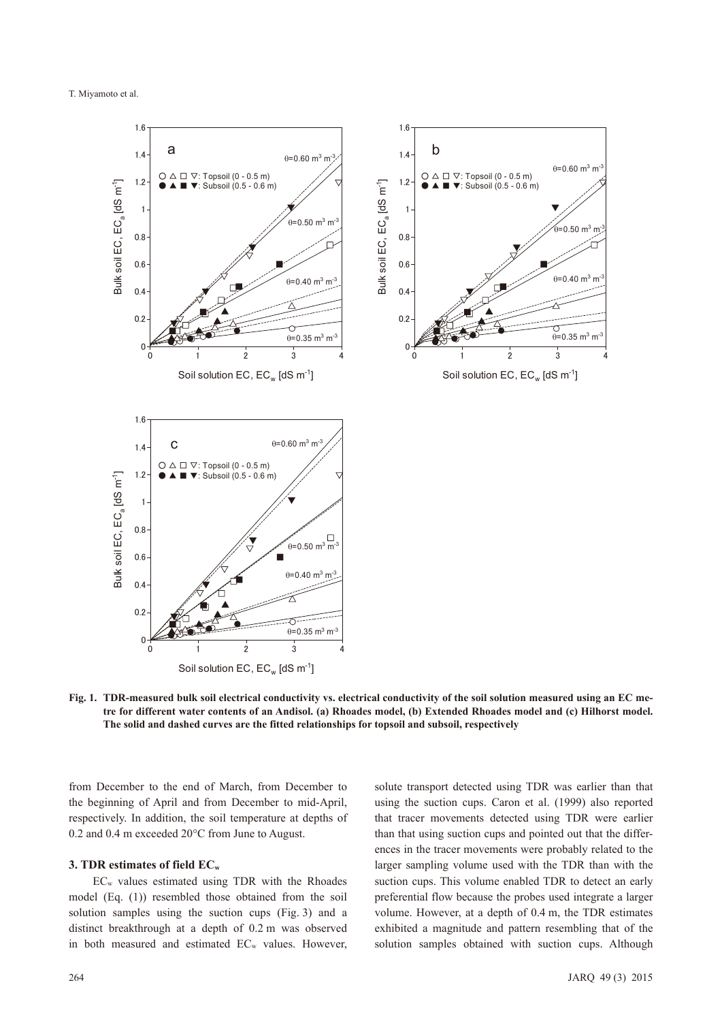

**Fig. 1. TDR-measured bulk soil electrical conductivity vs. electrical conductivity of the soil solution measured using an EC metre for different water contents of an Andisol. (a) Rhoades model, (b) Extended Rhoades model and (c) Hilhorst model. The solid and dashed curves are the fitted relationships for topsoil and subsoil, respectively**

from December to the end of March, from December to the beginning of April and from December to mid-April, respectively. In addition, the soil temperature at depths of 0.2 and 0.4 m exceeded 20°C from June to August.

## **3. TDR estimates of field ECw**

ECw values estimated using TDR with the Rhoades model (Eq. (1)) resembled those obtained from the soil solution samples using the suction cups (Fig. 3) and a distinct breakthrough at a depth of 0.2 m was observed in both measured and estimated EC<sub>w</sub> values. However, solute transport detected using TDR was earlier than that using the suction cups. Caron et al. (1999) also reported that tracer movements detected using TDR were earlier than that using suction cups and pointed out that the differences in the tracer movements were probably related to the larger sampling volume used with the TDR than with the suction cups. This volume enabled TDR to detect an early preferential flow because the probes used integrate a larger volume. However, at a depth of 0.4 m, the TDR estimates exhibited a magnitude and pattern resembling that of the solution samples obtained with suction cups. Although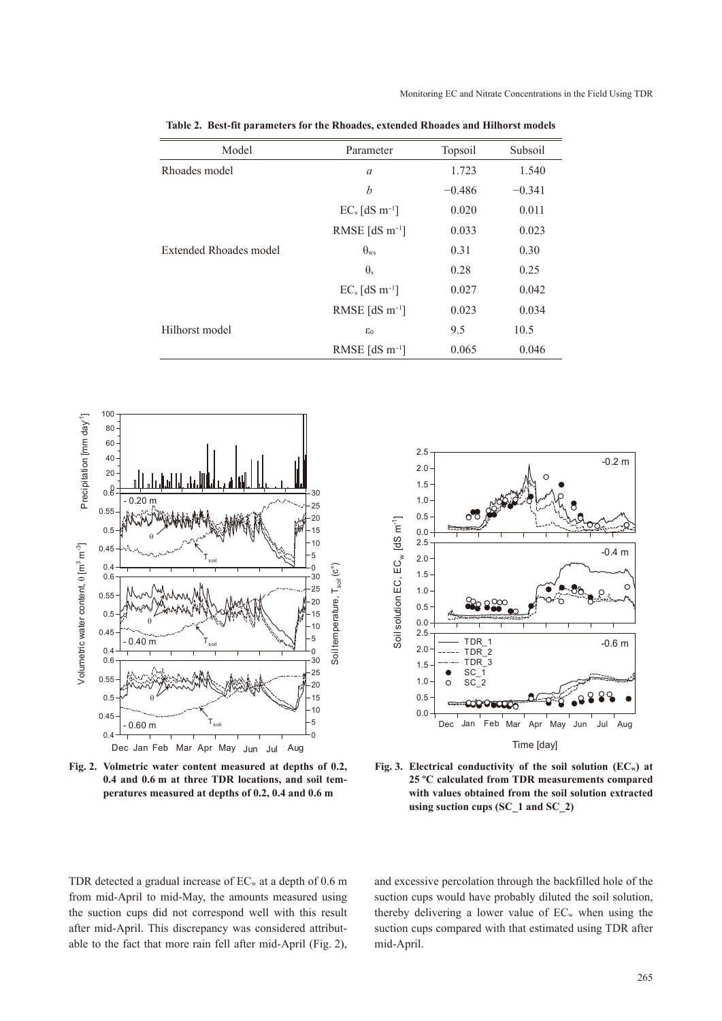| Model                  | Parameter                    | Topsoil  | Subsoil  |
|------------------------|------------------------------|----------|----------|
| Rhoades model          | a                            | 1.723    | 1.540    |
|                        | b                            | $-0.486$ | $-0.341$ |
|                        | $EC_s$ [dS m <sup>-1</sup> ] | 0.020    | 0.011    |
|                        | RMSE $[dS m^{-1}]$           | 0.033    | 0.023    |
| Extended Rhoades model | $\theta_{ws}$                | 0.31     | 0.30     |
|                        | $\theta_{s}$                 | 0.28     | 0.25     |
|                        | $EC_s$ [dS m <sup>-1</sup> ] | 0.027    | 0.042    |
|                        | RMSE $[dS \, m^{-1}]$        | 0.023    | 0.034    |
| Hilhorst model         | $\varepsilon_0$              | 9.5      | 10.5     |
|                        | RMSE [dS $m^{-1}$ ]          | 0.065    | 0.046    |

**Table 2. Best-fit parameters for the Rhoades, extended Rhoades and Hilhorst models**



**Fig. 2. Volmetric water content measured at depths of 0.2, 0.4 and 0.6 m at three TDR locations, and soil temperatures measured at depths of 0.2, 0.4 and 0.6 m**



**Fig. 3. Electrical conductivity of the soil solution (ECw) at 25 ºC calculated from TDR measurements compared with values obtained from the soil solution extracted using suction cups (SC\_1 and SC\_2)**

TDR detected a gradual increase of  $EC_w$  at a depth of 0.6 m from mid-April to mid-May, the amounts measured using the suction cups did not correspond well with this result after mid-April. This discrepancy was considered attributable to the fact that more rain fell after mid-April (Fig. 2), and excessive percolation through the backfilled hole of the suction cups would have probably diluted the soil solution, thereby delivering a lower value of  $EC_w$  when using the suction cups compared with that estimated using TDR after mid-April.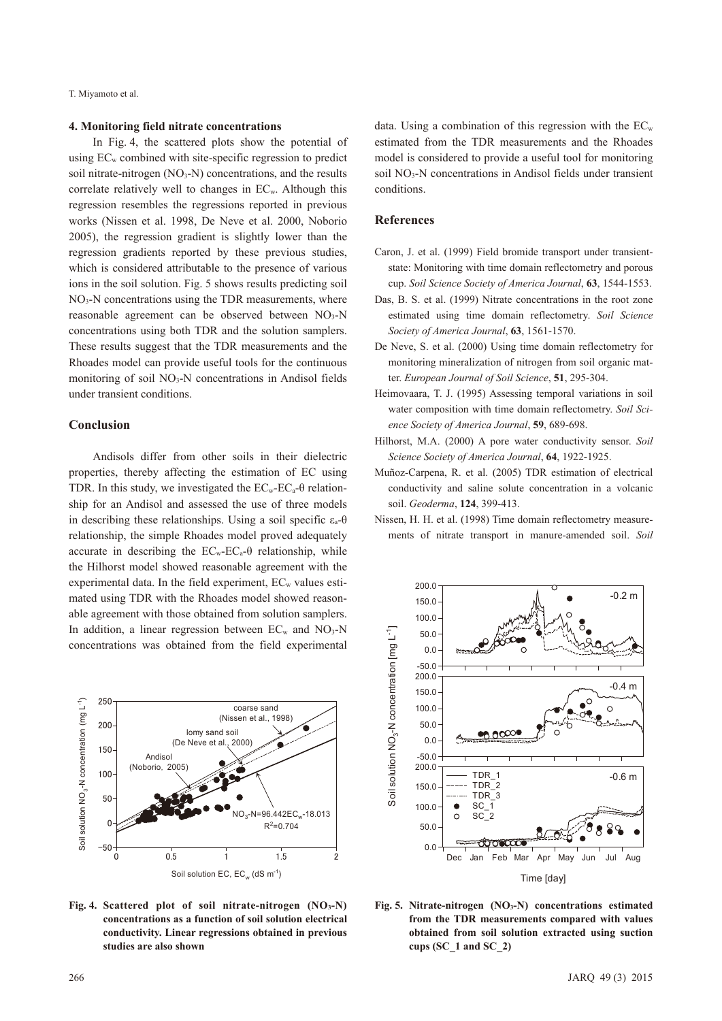# **4. Monitoring field nitrate concentrations**

In Fig. 4, the scattered plots show the potential of using  $EC_w$  combined with site-specific regression to predict soil nitrate-nitrogen  $(NO<sub>3</sub>-N)$  concentrations, and the results correlate relatively well to changes in ECw. Although this regression resembles the regressions reported in previous works (Nissen et al. 1998, De Neve et al. 2000, Noborio 2005), the regression gradient is slightly lower than the regression gradients reported by these previous studies, which is considered attributable to the presence of various ions in the soil solution. Fig. 5 shows results predicting soil NO<sub>3</sub>-N concentrations using the TDR measurements, where reasonable agreement can be observed between  $NO<sub>3</sub>-N$ concentrations using both TDR and the solution samplers. These results suggest that the TDR measurements and the Rhoades model can provide useful tools for the continuous monitoring of soil NO<sub>3</sub>-N concentrations in Andisol fields under transient conditions.

### **Conclusion**

Andisols differ from other soils in their dielectric properties, thereby affecting the estimation of EC using TDR. In this study, we investigated the  $EC_w-EC_a-θ$  relationship for an Andisol and assessed the use of three models in describing these relationships. Using a soil specific  $ε_a - θ$ relationship, the simple Rhoades model proved adequately accurate in describing the  $EC_w-EC_a-0$  relationship, while the Hilhorst model showed reasonable agreement with the experimental data. In the field experiment,  $EC_w$  values estimated using TDR with the Rhoades model showed reasonable agreement with those obtained from solution samplers. In addition, a linear regression between  $EC_w$  and  $NO_3-N$ concentrations was obtained from the field experimental



**Fig. 4. Scattered plot of soil nitrate-nitrogen (NO3-N) concentrations as a function of soil solution electrical conductivity. Linear regressions obtained in previous studies are also shown**

data. Using a combination of this regression with the  $EC<sub>w</sub>$ estimated from the TDR measurements and the Rhoades model is considered to provide a useful tool for monitoring soil NO<sub>3</sub>-N concentrations in Andisol fields under transient conditions.

# **References**

- Caron, J. et al. (1999) Field bromide transport under transientstate: Monitoring with time domain reflectometry and porous cup. *Soil Science Society of America Journal*, **63**, 1544-1553.
- Das, B. S. et al. (1999) Nitrate concentrations in the root zone estimated using time domain reflectometry. *Soil Science Society of America Journal*, **63**, 1561-1570.
- De Neve, S. et al. (2000) Using time domain reflectometry for monitoring mineralization of nitrogen from soil organic matter. *European Journal of Soil Science*, **51**, 295-304.
- Heimovaara, T. J. (1995) Assessing temporal variations in soil water composition with time domain reflectometry. *Soil Science Society of America Journal*, **59**, 689-698.
- Hilhorst, M.A. (2000) A pore water conductivity sensor. *Soil Science Society of America Journal*, **64**, 1922-1925.
- Muñoz-Carpena, R. et al. (2005) TDR estimation of electrical conductivity and saline solute concentration in a volcanic soil. *Geoderma*, **124**, 399-413.
- Nissen, H. H. et al. (1998) Time domain reflectometry measurements of nitrate transport in manure-amended soil. *Soil*



**Fig. 5. Nitrate-nitrogen (NO3-N) concentrations estimated from the TDR measurements compared with values obtained from soil solution extracted using suction cups (SC\_1 and SC\_2)**